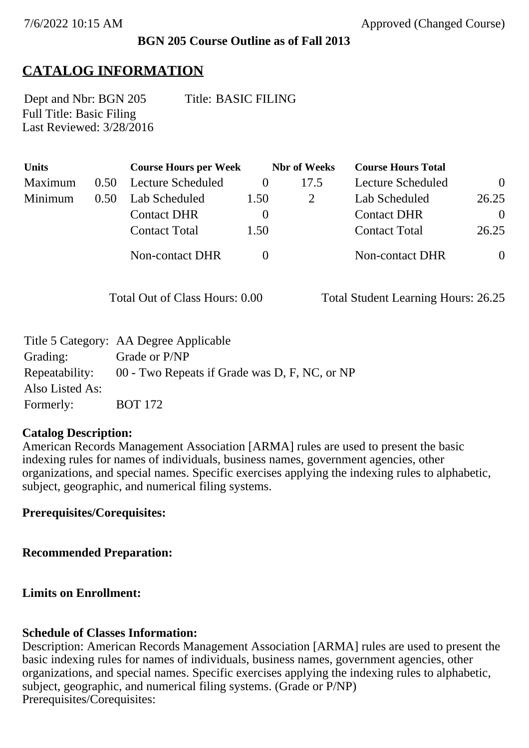#### **BGN 205 Course Outline as of Fall 2013**

# **CATALOG INFORMATION**

Full Title: Basic Filing Last Reviewed: 3/28/2016 Dept and Nbr: BGN 205 Title: BASIC FILING

| <b>Units</b> |      | <b>Course Hours per Week</b> |      | <b>Nbr</b> of Weeks | <b>Course Hours Total</b> |                |
|--------------|------|------------------------------|------|---------------------|---------------------------|----------------|
| Maximum      | 0.50 | Lecture Scheduled            |      | 17.5                | Lecture Scheduled         | $\overline{0}$ |
| Minimum      | 0.50 | Lab Scheduled                | 1.50 |                     | Lab Scheduled             | 26.25          |
|              |      | <b>Contact DHR</b>           |      |                     | <b>Contact DHR</b>        | $\theta$       |
|              |      | <b>Contact Total</b>         | 1.50 |                     | <b>Contact Total</b>      | 26.25          |
|              |      | <b>Non-contact DHR</b>       |      |                     | <b>Non-contact DHR</b>    | $\overline{0}$ |

Total Out of Class Hours: 0.00 Total Student Learning Hours: 26.25

|                 | Title 5 Category: AA Degree Applicable        |
|-----------------|-----------------------------------------------|
| Grading:        | Grade or P/NP                                 |
| Repeatability:  | 00 - Two Repeats if Grade was D, F, NC, or NP |
| Also Listed As: |                                               |
| Formerly:       | <b>BOT</b> 172                                |

#### **Catalog Description:**

American Records Management Association [ARMA] rules are used to present the basic indexing rules for names of individuals, business names, government agencies, other organizations, and special names. Specific exercises applying the indexing rules to alphabetic, subject, geographic, and numerical filing systems.

**Prerequisites/Corequisites:**

**Recommended Preparation:**

## **Limits on Enrollment:**

## **Schedule of Classes Information:**

Description: American Records Management Association [ARMA] rules are used to present the basic indexing rules for names of individuals, business names, government agencies, other organizations, and special names. Specific exercises applying the indexing rules to alphabetic, subject, geographic, and numerical filing systems. (Grade or P/NP) Prerequisites/Corequisites: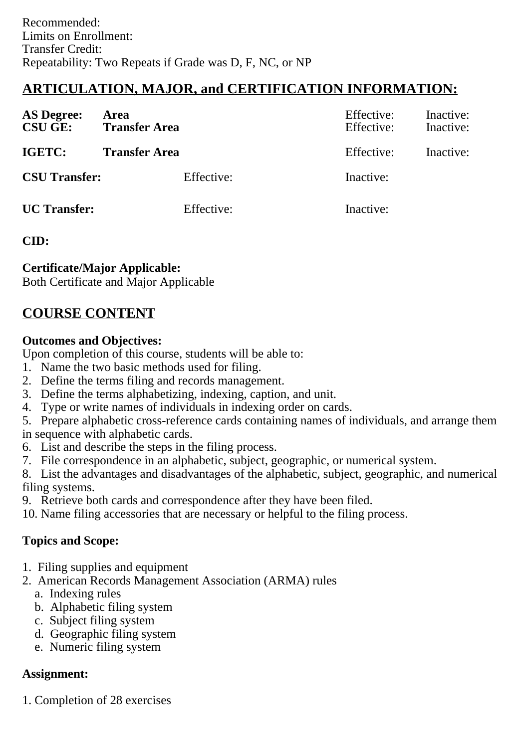# **ARTICULATION, MAJOR, and CERTIFICATION INFORMATION:**

| <b>AS Degree:</b><br><b>CSU GE:</b> | Area<br><b>Transfer Area</b> | Effective:<br>Effective: | Inactive:<br>Inactive: |
|-------------------------------------|------------------------------|--------------------------|------------------------|
| IGETC:                              | <b>Transfer Area</b>         | Effective:               | Inactive:              |
| <b>CSU Transfer:</b>                | Effective:                   | Inactive:                |                        |
| <b>UC</b> Transfer:                 | Effective:                   | Inactive:                |                        |

**CID:**

## **Certificate/Major Applicable:**

[Both Certificate and Major Applicable](SR_ClassCheck.aspx?CourseKey=BGN205)

# **COURSE CONTENT**

## **Outcomes and Objectives:**

Upon completion of this course, students will be able to:

- 1. Name the two basic methods used for filing.
- 2. Define the terms filing and records management.
- 3. Define the terms alphabetizing, indexing, caption, and unit.
- 4. Type or write names of individuals in indexing order on cards.
- 5. Prepare alphabetic cross-reference cards containing names of individuals, and arrange them in sequence with alphabetic cards.
- 6. List and describe the steps in the filing process.
- 7. File correspondence in an alphabetic, subject, geographic, or numerical system.
- 8. List the advantages and disadvantages of the alphabetic, subject, geographic, and numerical filing systems.
- 9. Retrieve both cards and correspondence after they have been filed.
- 10. Name filing accessories that are necessary or helpful to the filing process.

## **Topics and Scope:**

- 1. Filing supplies and equipment
- 2. American Records Management Association (ARMA) rules
	- a. Indexing rules
	- b. Alphabetic filing system
	- c. Subject filing system
	- d. Geographic filing system
	- e. Numeric filing system

## **Assignment:**

1. Completion of 28 exercises